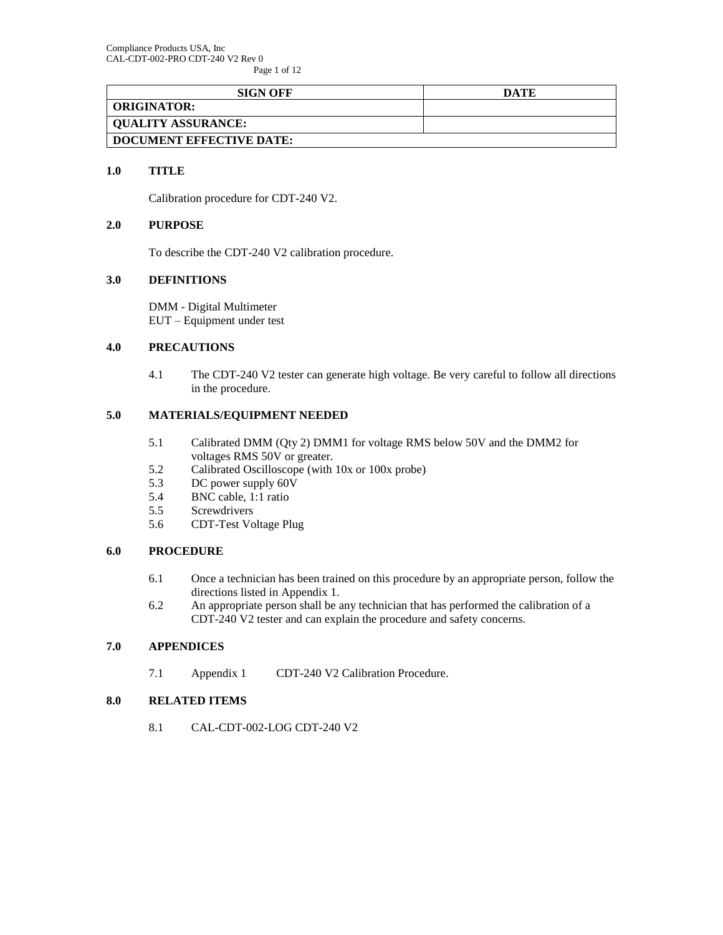Page 1 of 12

| <b>SIGN OFF</b>           | DATE |
|---------------------------|------|
| <b>ORIGINATOR:</b>        |      |
| <b>QUALITY ASSURANCE:</b> |      |
| DOCUMENT EFFECTIVE DATE:  |      |

#### **1.0 TITLE**

Calibration procedure for CDT-240 V2.

#### **2.0 PURPOSE**

To describe the CDT-240 V2 calibration procedure.

### **3.0 DEFINITIONS**

DMM - Digital Multimeter EUT – Equipment under test

## **4.0 PRECAUTIONS**

4.1 The CDT-240 V2 tester can generate high voltage. Be very careful to follow all directions in the procedure.

## **5.0 MATERIALS/EQUIPMENT NEEDED**

- 5.1 Calibrated DMM (Qty 2) DMM1 for voltage RMS below 50V and the DMM2 for voltages RMS 50V or greater.
- 5.2 Calibrated Oscilloscope (with 10x or 100x probe)
- 5.3 DC power supply 60V
- 5.4 BNC cable, 1:1 ratio
- 5.5 Screwdrivers
- 5.6 CDT-Test Voltage Plug

#### **6.0 PROCEDURE**

- 6.1 Once a technician has been trained on this procedure by an appropriate person, follow the directions listed in Appendix 1.
- 6.2 An appropriate person shall be any technician that has performed the calibration of a CDT-240 V2 tester and can explain the procedure and safety concerns.

#### **7.0 APPENDICES**

7.1 Appendix 1 CDT-240 V2 Calibration Procedure.

#### <span id="page-0-0"></span>**8.0 RELATED ITEMS**

8.1 CAL-CDT-002-LOG CDT-240 V2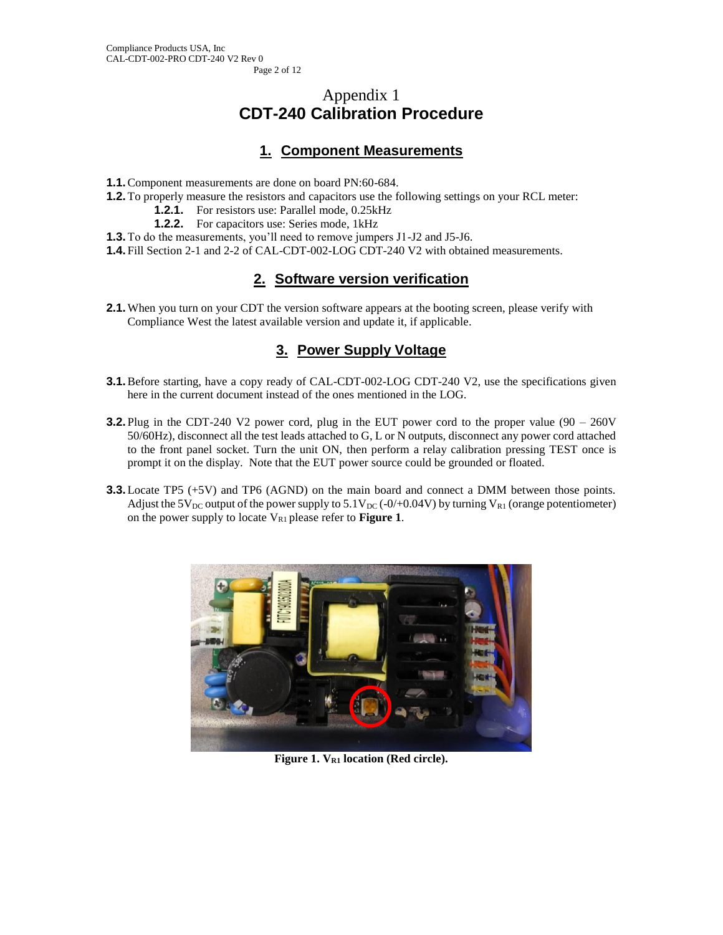# Appendix 1 **CDT-240 Calibration Procedure**

# **1. Component Measurements**

- **1.1.**Component measurements are done on board PN:60-684.
- **1.2.**To properly measure the resistors and capacitors use the following settings on your RCL meter:
	- **1.2.1.** For resistors use: Parallel mode, 0.25kHz
	- **1.2.2.** For capacitors use: Series mode, 1kHz
- **1.3.**To do the measurements, you'll need to remove jumpers J1-J2 and J5-J6.
- **1.4.** Fill Section 2-1 and 2-2 of [CAL-CDT-002-LOG CDT-240](#page-0-0) V2 with obtained measurements.

# **2. Software version verification**

**2.1.** When you turn on your CDT the version software appears at the booting screen, please verify with Compliance West the latest available version and update it, if applicable.

# **3. Power Supply Voltage**

- **3.1.** Before starting, have a copy ready of [CAL-CDT-002-LOG CDT-240](#page-0-0) V2, use the specifications given here in the current document instead of the ones mentioned in the LOG.
- **3.2.** Plug in the CDT-240 V2 power cord, plug in the EUT power cord to the proper value (90 260V 50/60Hz), disconnect all the test leads attached to G, L or N outputs, disconnect any power cord attached to the front panel socket. Turn the unit ON, then perform a relay calibration pressing TEST once is prompt it on the display. Note that the EUT power source could be grounded or floated.
- **3.3.**Locate TP5 (+5V) and TP6 (AGND) on the main board and connect a DMM between those points. Adjust the 5V<sub>DC</sub> output of the power supply to  $5.1V_{DC}$  (-0/+0.04V) by turning V<sub>R1</sub> (orange potentiometer) on the power supply to locate  $V_{R1}$  please refer to **[Figure 1](#page-1-0)**.

<span id="page-1-0"></span>

**Figure 1. VR1 location (Red circle).**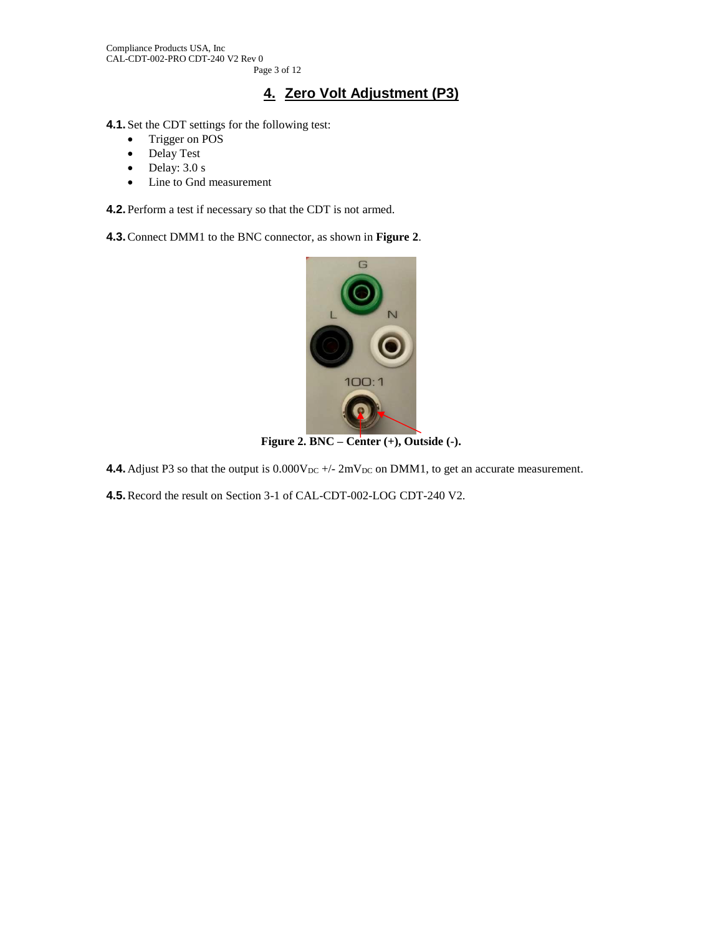# **4. Zero Volt Adjustment (P3)**

- **4.1.** Set the CDT settings for the following test:
	- Trigger on POS
	- Delay Test
	- Delay:  $3.0 \text{ s}$
	- Line to Gnd measurement

**4.2.** Perform a test if necessary so that the CDT is not armed.

**4.3.**Connect DMM1 to the BNC connector, as shown in **[Figure 2](#page-2-0)**.



**Figure 2. BNC – Center (+), Outside (-).**

<span id="page-2-0"></span>**4.4.** Adjust P3 so that the output is  $0.000V_{DC}$  +/-  $2mV_{DC}$  on DMM1, to get an accurate measurement.

**4.5.**Record the result on Section 3-1 of [CAL-CDT-002-LOG CDT-240](#page-0-0) V2.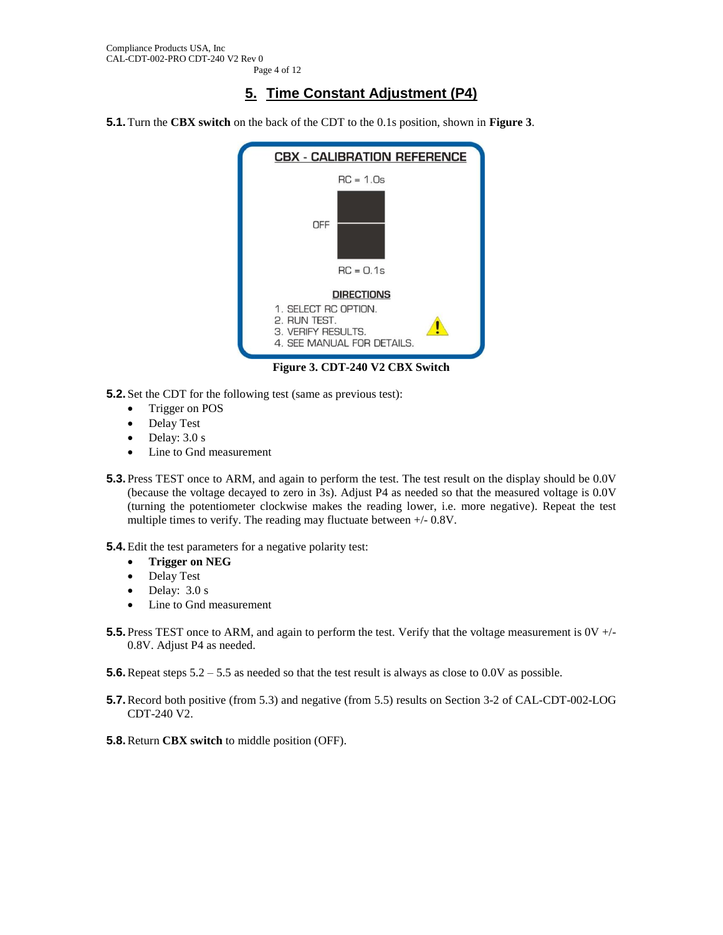# **5. Time Constant Adjustment (P4)**

**5.1.**Turn the **CBX switch** on the back of the CDT to the 0.1s position, shown in **[Figure 3](#page-3-0)**.



- <span id="page-3-1"></span><span id="page-3-0"></span>**5.2.** Set the CDT for the following test (same as previous test):
	- Trigger on POS
	- Delay Test
	- $\bullet$  Delay: 3.0 s
	- Line to Gnd measurement
- <span id="page-3-3"></span>**5.3.** Press TEST once to ARM, and again to perform the test. The test result on the display should be 0.0V (because the voltage decayed to zero in 3s). Adjust P4 as needed so that the measured voltage is 0.0V (turning the potentiometer clockwise makes the reading lower, i.e. more negative). Repeat the test multiple times to verify. The reading may fluctuate between +/- 0.8V.
- **5.4.**Edit the test parameters for a negative polarity test:
	- **Trigger on NEG**
	- Delay Test
	- Delay:  $3.0 s$
	- Line to Gnd measurement
- <span id="page-3-2"></span>**5.5.** Press TEST once to ARM, and again to perform the test. Verify that the voltage measurement is  $0V +1$ 0.8V. Adjust P4 as needed.
- **5.6.** Repeat steps  $5.2 5.5$  $5.2 5.5$  $5.2 5.5$  as needed so that the test result is always as close to 0.0V as possible.
- **5.7.** Record both positive (from [5.3\)](#page-3-3) and negative (from [5.5\)](#page-3-2) results on Section 3-2 of CAL-CDT-002-LOG [CDT-240](#page-0-0) V2.
- **5.8.**Return **CBX switch** to middle position (OFF).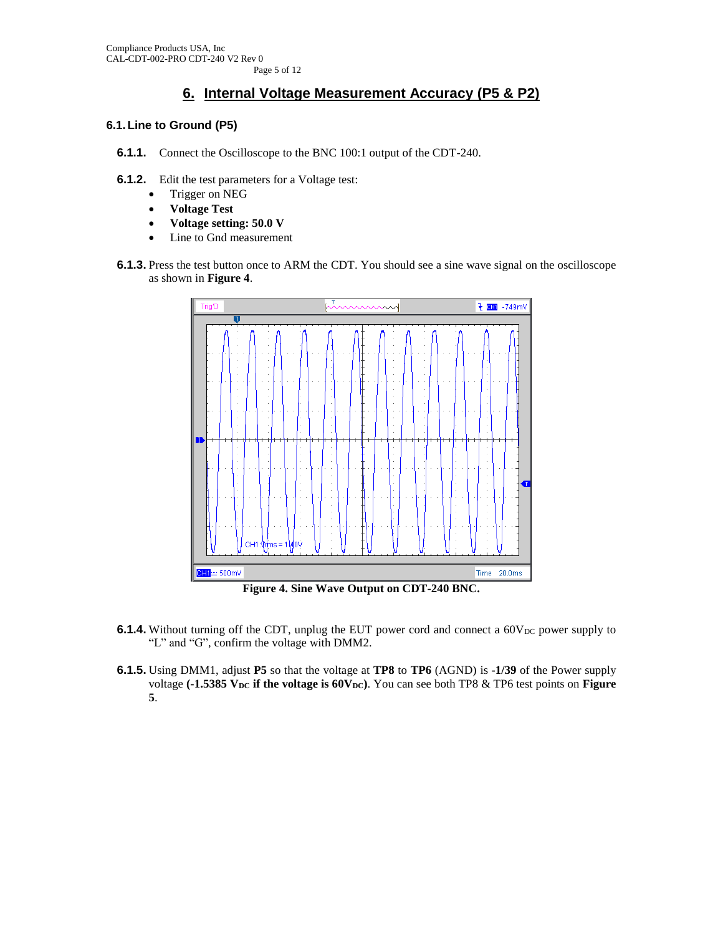# **6. Internal Voltage Measurement Accuracy (P5 & P2)**

### **6.1.Line to Ground (P5)**

- **6.1.1.** Connect the Oscilloscope to the BNC 100:1 output of the CDT-240.
- **6.1.2.** Edit the test parameters for a Voltage test:
	- Trigger on NEG
	- **Voltage Test**
	- **Voltage setting: 50.0 V**
	- Line to Gnd measurement
- **6.1.3.** Press the test button once to ARM the CDT. You should see a sine wave signal on the oscilloscope as shown in **[Figure 4](#page-4-0)**.



**Figure 4. Sine Wave Output on CDT-240 BNC.**

- <span id="page-4-0"></span>**6.1.4.** Without turning off the CDT, unplug the EUT power cord and connect a  $60V_{DC}$  power supply to "L" and "G", confirm the voltage with DMM2.
- **6.1.5.** Using DMM1, adjust **P5** so that the voltage at **TP8** to **TP6** (AGND) is **-1/39** of the Power supply voltage (-1.5385 V<sub>DC</sub> if the voltage is 60V<sub>DC</sub>). You can see both TP8 & TP6 test points on **Figure [5](#page-5-0)**.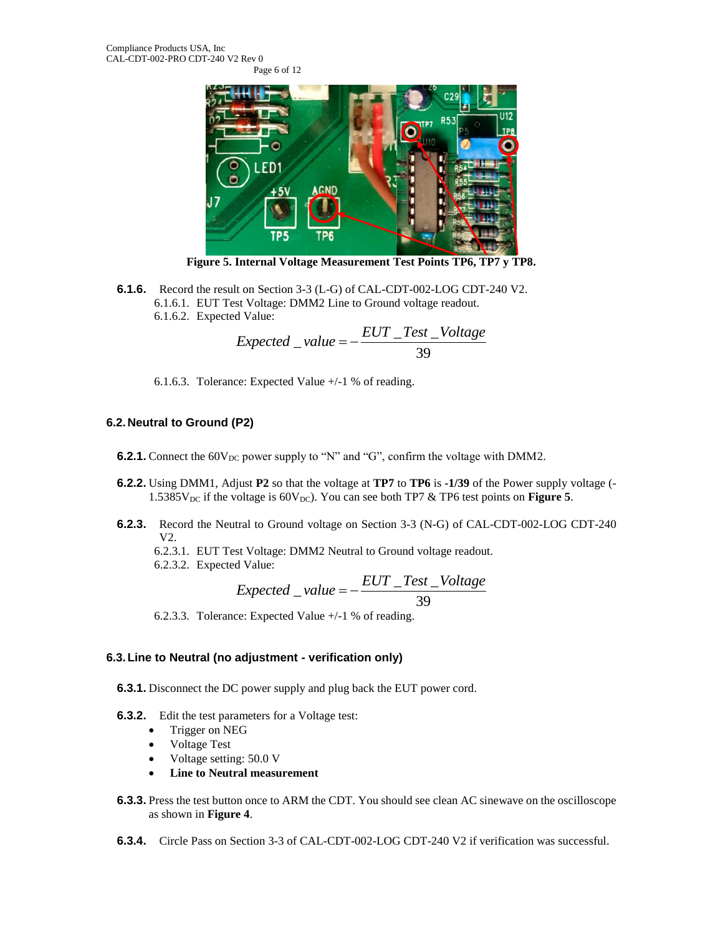

**Figure 5. Internal Voltage Measurement Test Points TP6, TP7 y TP8.**

<span id="page-5-0"></span>**6.1.6.** Record the result on Section 3-3 (L-G) of [CAL-CDT-002-LOG CDT-240](#page-0-0) V2. **6.1.6.1. EUT Test Voltage: DMM2 Line to Ground voltage readout.**<br> **6.1.6.2. Expected Value:**<br> *Expected* \_ *value* = −  $\frac{EUT\_Test\_ Voltage}{39}$ 6.1.6.2. Expected Value:

$$
Expected_value = -\frac{EUT\_Test\_Volume}{39}
$$

6.1.6.3. Tolerance: Expected Value +/-1 % of reading.

## **6.2.Neutral to Ground (P2)**

- **6.2.1.** Connect the  $60V_{DC}$  power supply to "N" and "G", confirm the voltage with DMM2.
- **6.2.2.** Using DMM1, Adjust **P2** so that the voltage at **TP7** to **TP6** is **-1/39** of the Power supply voltage (- 1.5385 $V_{DC}$  if the voltage is 60 $V_{DC}$ ). You can see both TP7 & TP6 test points on **[Figure](#page-5-0) 5**.
- **6.2.3.** Record the Neutral to Ground voltage on Section 3-3 (N-G) of [CAL-CDT-002-LOG CDT-240](#page-0-0) [V2.](#page-0-0)
	-
	- 6.2.3.2. Expected Value:

6.2.3.1. EUT Test Voltage: DMM2 Neutral to Ground voltage readout.  
6.2.3.2. Expected Value:  

$$
Expected\_value = -\frac{EUT\_Test\_Volume}{39}
$$

39

6.2.3.3. Tolerance: Expected Value +/-1 % of reading.

## **6.3.Line to Neutral (no adjustment - verification only)**

**6.3.1.** Disconnect the DC power supply and plug back the EUT power cord.

- **6.3.2.** Edit the test parameters for a Voltage test:
	- Trigger on NEG
	- Voltage Test
	- Voltage setting: 50.0 V
	- **Line to Neutral measurement**
- **6.3.3.** Press the test button once to ARM the CDT. You should see clean AC sinewave on the oscilloscope as shown in **[Figure 4](#page-4-0)**.
- **6.3.4.** Circle Pass on Section 3-3 of [CAL-CDT-002-LOG CDT-240](#page-0-0) V2 if verification was successful.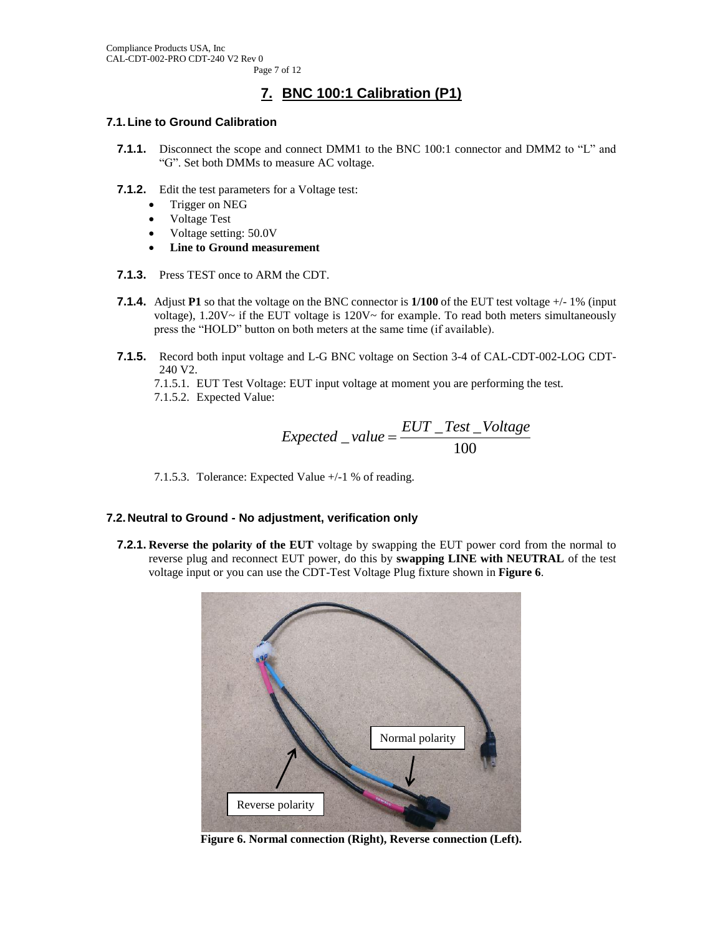# **7. BNC 100:1 Calibration (P1)**

#### **7.1.Line to Ground Calibration**

- **7.1.1.** Disconnect the scope and connect DMM1 to the BNC 100:1 connector and DMM2 to "L" and "G". Set both DMMs to measure AC voltage.
- **7.1.2.** Edit the test parameters for a Voltage test:
	- Trigger on NEG
	- Voltage Test
	- Voltage setting: 50.0V
	- **Line to Ground measurement**
- **7.1.3.** Press TEST once to ARM the CDT.
- **7.1.4.** Adjust **P1** so that the voltage on the BNC connector is **1/100** of the EUT test voltage +/- 1% (input voltage),  $1.20V \sim$  if the EUT voltage is  $120V \sim$  for example. To read both meters simultaneously press the "HOLD" button on both meters at the same time (if available).
- **7.1.5.** Record both input voltage and L-G BNC voltage on Section 3-4 of [CAL-CDT-002-LOG CDT-](#page-0-0)[240](#page-0-0) V2.

7.1.5.1. EUT Test Voltage: EUT input voltage at moment you are performing the test. 7.1.5.2. Expected Value:

Expected 
$$
= \frac{EUT \cdot Test \cdot Voltage}{100}
$$

7.1.5.3. Tolerance: Expected Value +/-1 % of reading.

### **7.2.Neutral to Ground - No adjustment, verification only**

**7.2.1. Reverse the polarity of the EUT** voltage by swapping the EUT power cord from the normal to reverse plug and reconnect EUT power, do this by **swapping LINE with NEUTRAL** of the test voltage input or you can use the CDT-Test Voltage Plug fixture shown in **[Figure 6](#page-6-0)**.

<span id="page-6-0"></span>

**Figure 6. Normal connection (Right), Reverse connection (Left).**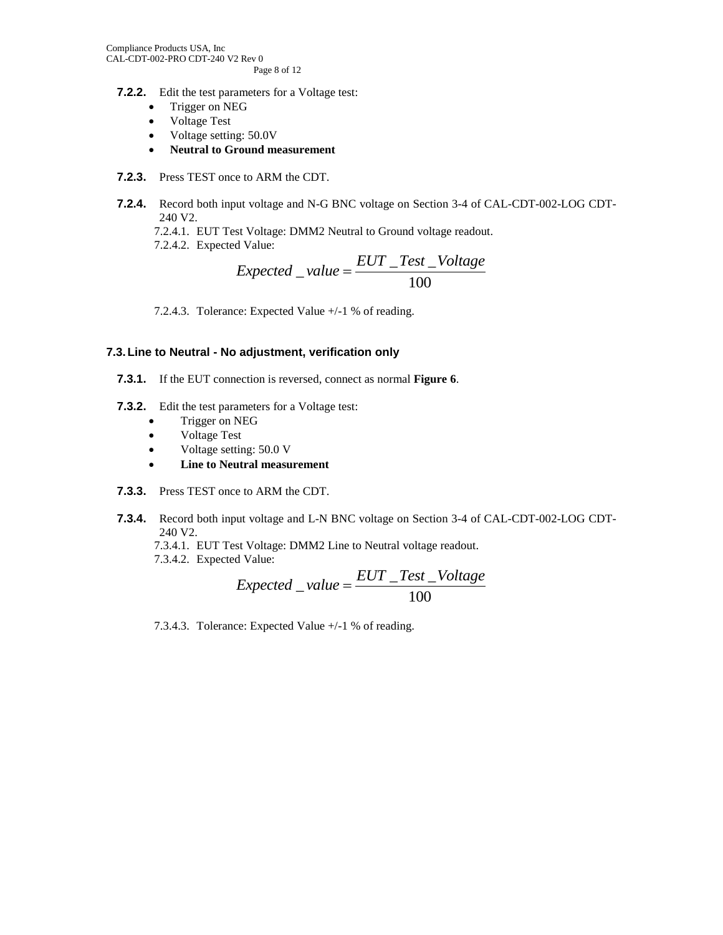- **7.2.2.** Edit the test parameters for a Voltage test:
	- Trigger on NEG
	- Voltage Test
	- Voltage setting: 50.0V
	- **Neutral to Ground measurement**
- **7.2.3.** Press TEST once to ARM the CDT.
- **7.2.4.** Record both input voltage and N-G BNC voltage on Section 3-4 of [CAL-CDT-002-LOG CDT-](#page-0-0)[240](#page-0-0) V2.
	-
	- 7.2.4.2. Expected Value:

7.2.4.1. EUT Test Voltage: DMM2 Neutral to Ground voltage readout.  
7.2.4.2. Expected Value:  

$$
Expected_value = \frac{EUT\_Test\_Voltage}{100}
$$

7.2.4.3. Tolerance: Expected Value +/-1 % of reading.

#### **7.3.Line to Neutral - No adjustment, verification only**

- **7.3.1.** If the EUT connection is reversed, connect as normal **[Figure 6](#page-6-0)**.
- **7.3.2.** Edit the test parameters for a Voltage test:
	- Trigger on NEG
	- Voltage Test
	- Voltage setting: 50.0 V
	- **Line to Neutral measurement**
- **7.3.3.** Press TEST once to ARM the CDT.
- **7.3.4.** Record both input voltage and L-N BNC voltage on Section 3-4 of [CAL-CDT-002-LOG CDT-](#page-0-0)[240](#page-0-0) V2.
	-

7.3.4.2. Expected Value:

7.3.4.1. EUT Test Voltage: DMM2 Line to Neutral voltage readout.  
7.3.4.2. Expected Value:  

$$
Expected\_value = \frac{EUT\_Test\_Volume}{100}
$$

7.3.4.3. Tolerance: Expected Value +/-1 % of reading.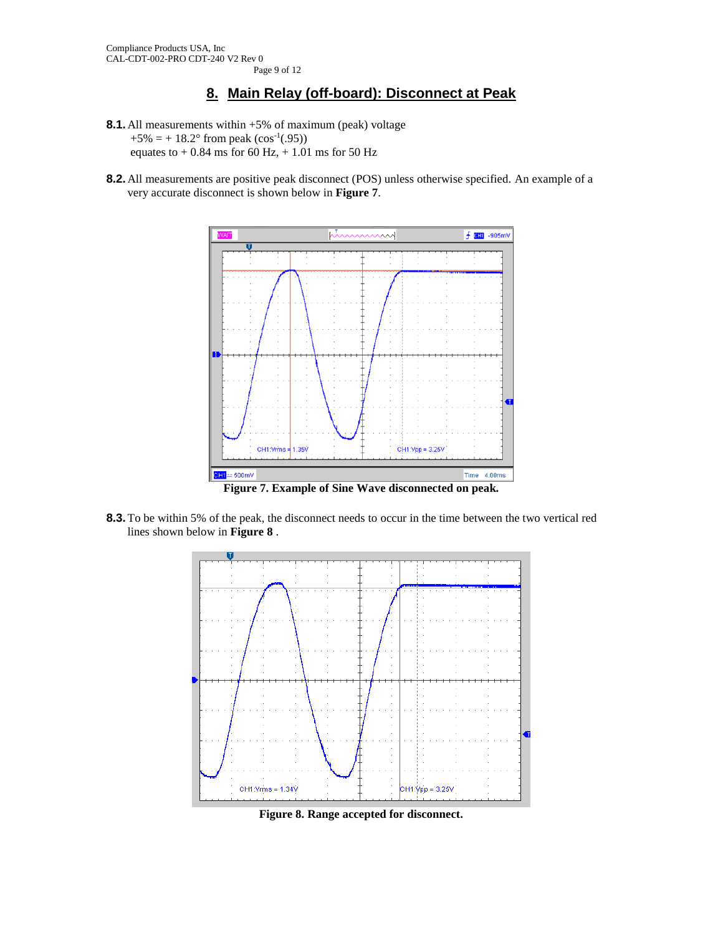# **8. Main Relay (off-board): Disconnect at Peak**

- <span id="page-8-2"></span>**8.1.**All measurements within +5% of maximum (peak) voltage  $+5\% = +18.2^{\circ}$  from peak (cos<sup>-1</sup>(.95)) equates to  $+ 0.84$  ms for 60 Hz,  $+ 1.01$  ms for 50 Hz
- **8.2.**All measurements are positive peak disconnect (POS) unless otherwise specified. An example of a very accurate disconnect is shown below in **[Figure 7](#page-8-0)**.



**Figure 7. Example of Sine Wave disconnected on peak.**

<span id="page-8-0"></span>**8.3.**To be within 5% of the peak, the disconnect needs to occur in the time between the two vertical red lines shown below in **[Figure 8](#page-8-1)** .



<span id="page-8-1"></span>**Figure 8. Range accepted for disconnect.**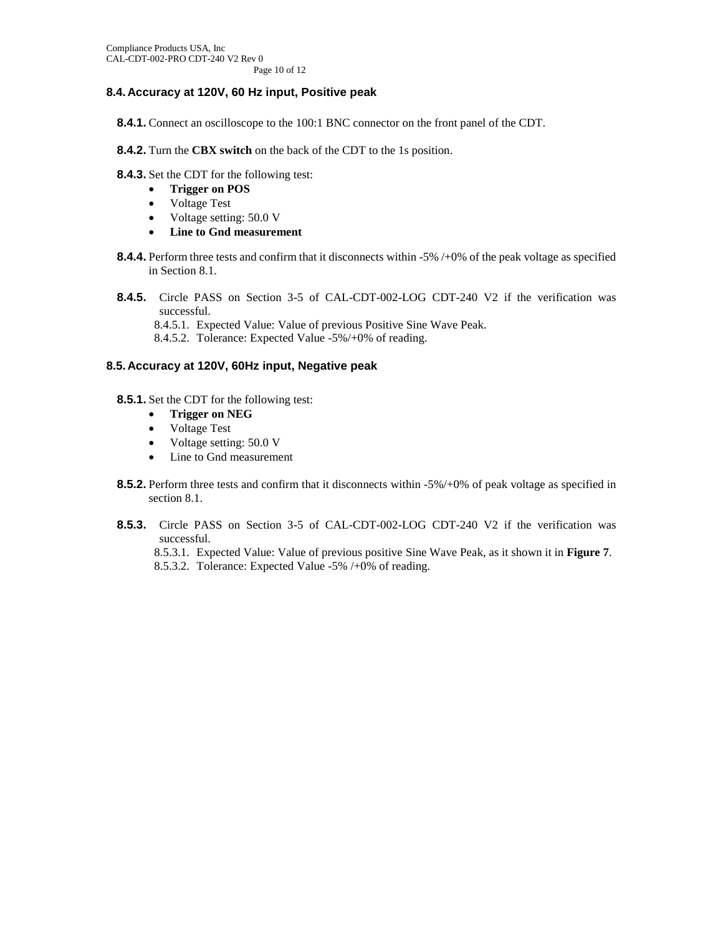## **8.4.Accuracy at 120V, 60 Hz input, Positive peak**

- **8.4.1.** Connect an oscilloscope to the 100:1 BNC connector on the front panel of the CDT.
- **8.4.2.** Turn the **CBX switch** on the back of the CDT to the 1s position.
- **8.4.3.** Set the CDT for the following test:
	- **Trigger on POS**
	- Voltage Test
	- Voltage setting: 50.0 V
	- **Line to Gnd measurement**
- **8.4.4.** Perform three tests and confirm that it disconnects within -5% /+0% of the peak voltage as specified in Section [8.1.](#page-8-2)
- **8.4.5.** Circle PASS on Section 3-5 of [CAL-CDT-002-LOG CDT-240](#page-0-0) V2 if the verification was successful.
	- 8.4.5.1. Expected Value: Value of previous Positive Sine Wave Peak.
	- 8.4.5.2. Tolerance: Expected Value -5%/+0% of reading.

#### **8.5.Accuracy at 120V, 60Hz input, Negative peak**

- **8.5.1.** Set the CDT for the following test:
	- **Trigger on NEG**
	- Voltage Test
	- Voltage setting: 50.0 V
	- Line to Gnd measurement
- **8.5.2.** Perform three tests and confirm that it disconnects within -5%/+0% of peak voltage as specified in section [8.1.](#page-8-2)
- **8.5.3.** Circle PASS on Section 3-5 of [CAL-CDT-002-LOG CDT-240](#page-0-0) V2 if the verification was successful.

8.5.3.1. Expected Value: Value of previous positive Sine Wave Peak, as it shown it in **[Figure 7](#page-8-0)**. 8.5.3.2. Tolerance: Expected Value -5% /+0% of reading.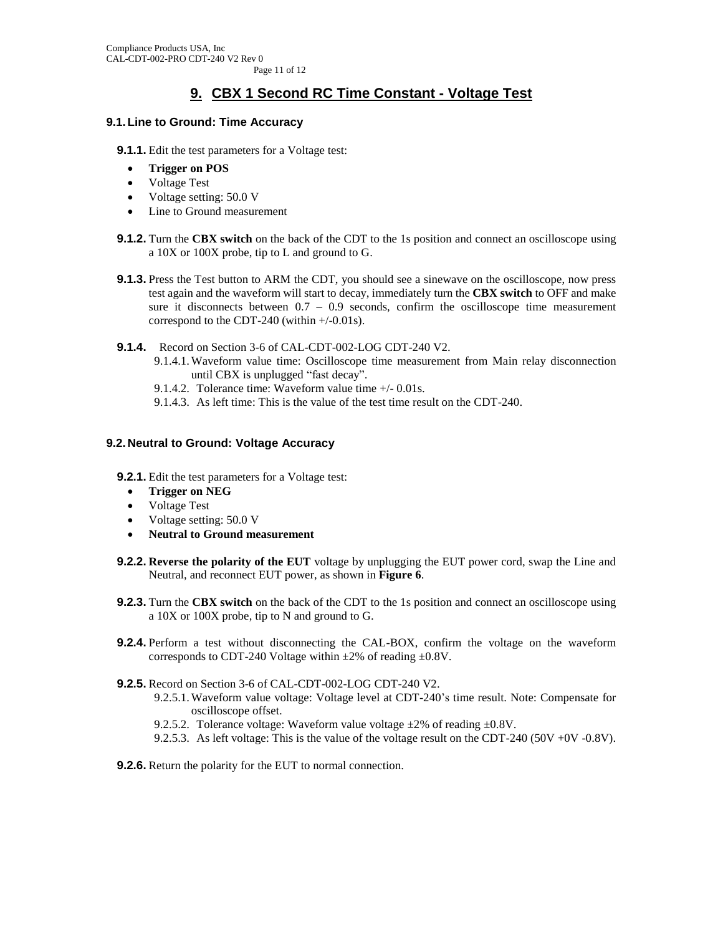# **9. CBX 1 Second RC Time Constant - Voltage Test**

### **9.1.Line to Ground: Time Accuracy**

**9.1.1.** Edit the test parameters for a Voltage test:

- **Trigger on POS**
- Voltage Test
- Voltage setting: 50.0 V
- Line to Ground measurement
- **9.1.2.** Turn the **CBX switch** on the back of the CDT to the 1s position and connect an oscilloscope using a 10X or 100X probe, tip to L and ground to G.
- **9.1.3.** Press the Test button to ARM the CDT, you should see a sinewave on the oscilloscope, now press test again and the waveform will start to decay, immediately turn the **CBX switch** to OFF and make sure it disconnects between  $0.7 - 0.9$  seconds, confirm the oscilloscope time measurement correspond to the CDT-240 (within +/-0.01s).

**9.1.4.** Record on Section 3-6 of [CAL-CDT-002-LOG CDT-240](#page-0-0) V2.

- 9.1.4.1.Waveform value time: Oscilloscope time measurement from Main relay disconnection until CBX is unplugged "fast decay".
- 9.1.4.2. Tolerance time: Waveform value time +/- 0.01s.
- 9.1.4.3. As left time: This is the value of the test time result on the CDT-240.

### **9.2.Neutral to Ground: Voltage Accuracy**

**9.2.1.** Edit the test parameters for a Voltage test:

- **Trigger on NEG**
- Voltage Test
- Voltage setting: 50.0 V
- **Neutral to Ground measurement**
- **9.2.2. Reverse the polarity of the EUT** voltage by unplugging the EUT power cord, swap the Line and Neutral, and reconnect EUT power, as shown in **[Figure 6](#page-6-0)**.
- **9.2.3.** Turn the **CBX switch** on the back of the CDT to the 1s position and connect an oscilloscope using a 10X or 100X probe, tip to N and ground to G.
- **9.2.4.** Perform a test without disconnecting the CAL-BOX, confirm the voltage on the waveform corresponds to CDT-240 Voltage within  $\pm 2\%$  of reading  $\pm 0.8$ V.
- **9.2.5.** Record on Section 3-6 of [CAL-CDT-002-LOG CDT-240](#page-0-0) V2.
	- 9.2.5.1.Waveform value voltage: Voltage level at CDT-240's time result. Note: Compensate for oscilloscope offset.
	- 9.2.5.2. Tolerance voltage: Waveform value voltage  $\pm 2\%$  of reading  $\pm 0.8V$ .
	- 9.2.5.3. As left voltage: This is the value of the voltage result on the CDT-240 (50V +0V -0.8V).
- **9.2.6.** Return the polarity for the EUT to normal connection.